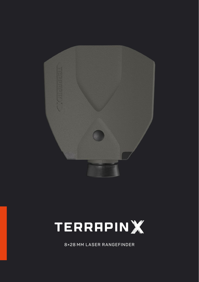



8×28 MM LASER RANGEFINDER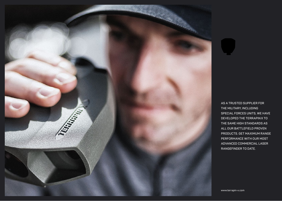

**AS A TRUSTED SUPPLIER FOR THE MILITARY, INCLUDING SPECIAL FORCES UNITS, WE HAVE DEVELOPED THE TERRAPINX TO THE SAME HIGH STANDARDS AS ALL OUR BATTLEFIELD PROVEN PRODUCTS. GET MAXIMUM RANGE PERFORMANCE WITH OUR MOST ADVANCED COMMERCIAL LASER RANGEFINDER TO DATE.**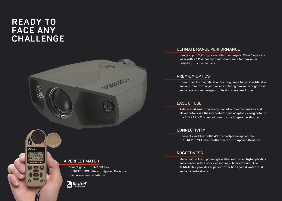# **READY TO FACE ANY CHALLENGE**

 $A$ Kestrel



## **ULTIMATE RANGE PERFORMANCE**

**Ranges up to 3,280yds. on reflective targets. Class 1 eye safe laser with a 1.2×0.5mrad beam divergence for maximum reliability on small targets.**

## **PREMIUM OPTICS**

**Unmatched 8x magnification for long range target identification and a 28mm front objective lens offering maximum brightness and a crystal clear image with best in class resolution.**

# **EASE OF USE**

**A dedicated smartphone app loaded with extra features and clever details like the integrated tripod adaptor – every detail of the TERRAPINX is geared towards the long-range shooter**

# **CONNECTIVITY**

**Connects via Bluetooth**® **4.1 to smartphone app and to KESTREL® 5700 Elite weather meter with Applied Ballistics.**

# **RUGGEDNESS**

**Made from military proven glass fiber reinforced Ryton plastics and covered with a shock absorbing rubber armoring. The TERRAPINX provides superior protection against water, dust and accidental drops.**

## **A PERFECT MATCH**

**Connect your TERRAPINX to a KESTREL® 5700 Elite with Applied Ballistics for accurate firing solutions**

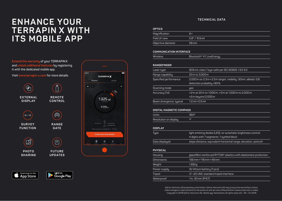# **ENHANCE YOUR TERRAPIN X WITH ITS MOBILE APP**

**Extend the warranty of your TERRAPINX and unlock additional features by registering it with the dedicated mobile app.**

**Visit www.terrapin-x.com for more details.**





## **TECHNICAL DATA**

### **OPTICS**

| .                  |                         |
|--------------------|-------------------------|
| Magnification      | $8\times$               |
| Field of view      | $5.8^{\circ}$ / 103 mil |
| Objective diameter | $28$ mm                 |
|                    |                         |

## **COMMUNICATION INTERFACE**

| Wireless | Bluetooth® 4.1 LowEnergy |
|----------|--------------------------|

## **RANGEFINDER**

| Laser type               | 905 nm, class 1 eye-safe per IEC 60825-1 Ed 3.0                                               |
|--------------------------|-----------------------------------------------------------------------------------------------|
| Range capability         | 20 m to 3,000 m                                                                               |
| Specified performance    | 2,000 m on 2.3 m × 2.3 m target; visibility: 30 km, albedo: 0.6;<br>detection probalitiy >90% |
| Scanning mode            | <b>yes</b>                                                                                    |
| Accuracu (1σ)            | $\pm$ 2m at 20m to 1,000m; $\pm$ 3m at 1,000m to 2,000m;<br>$±5m$ beyond 2,000 $m$            |
| Beam divergence, typical | $1.2$ mil $\times$ 0.5 mil                                                                    |

### **DIGITAL MAGNETIC COMPASS**

| Units                 | 360° |
|-----------------------|------|
| Resolution on display | 10   |

### **DISPLAY**

| <b>Type</b>    | light emitting diodes (LED); w/automatic brightness control;<br>4 digits with 7 segments; 1 symbol block |
|----------------|----------------------------------------------------------------------------------------------------------|
| Data displayed | slope distance, equivalent horizontal range, elevation, azimuth                                          |

## **PHYSICAL**

| Housing           | glassfibre reinforced RYTON® plastics with elastomere protection |
|-------------------|------------------------------------------------------------------|
| <b>Dimensions</b> | $136$ mm $\times$ 118 mm $\times$ 48 mm                          |
| Weight            | $<$ 390 $q$                                                      |
| Power supply      | 3V lithium battery (1 pcs)                                       |
| Tripod            | 14"-20 UNC standard tripod interface                             |
| Waterproof        | 1m, 30 min (IP67)                                                |

Safran Vectronix AG proprietary information. Safran Vectronix AG may at any time and without notice, make changes or improvements to the products and services offered and/or cease production or sales. Copyright © 2019 Safran Vectronix AG, Heerbrugg, Switzerland, all rights reserved – EN – 01.2019